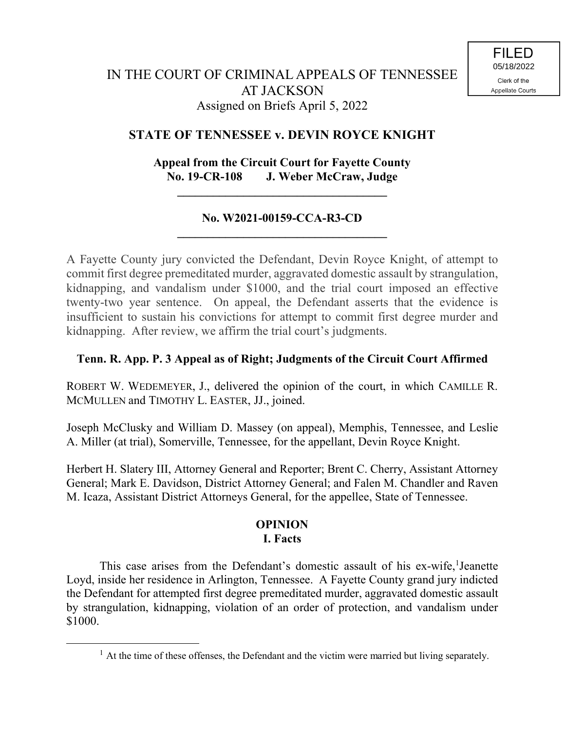# **STATE OF TENNESSEE v. DEVIN ROYCE KNIGHT**

# **Appeal from the Circuit Court for Fayette County No. 19-CR-108 J. Weber McCraw, Judge**

**\_\_\_\_\_\_\_\_\_\_\_\_\_\_\_\_\_\_\_\_\_\_\_\_\_\_\_\_\_\_\_\_\_\_\_**

## **No. W2021-00159-CCA-R3-CD \_\_\_\_\_\_\_\_\_\_\_\_\_\_\_\_\_\_\_\_\_\_\_\_\_\_\_\_\_\_\_\_\_\_\_**

A Fayette County jury convicted the Defendant, Devin Royce Knight, of attempt to commit first degree premeditated murder, aggravated domestic assault by strangulation, kidnapping, and vandalism under \$1000, and the trial court imposed an effective twenty-two year sentence. On appeal, the Defendant asserts that the evidence is insufficient to sustain his convictions for attempt to commit first degree murder and kidnapping. After review, we affirm the trial court's judgments.

## **Tenn. R. App. P. 3 Appeal as of Right; Judgments of the Circuit Court Affirmed**

ROBERT W. WEDEMEYER, J., delivered the opinion of the court, in which CAMILLE R. MCMULLEN and TIMOTHY L. EASTER, JJ., joined.

Joseph McClusky and William D. Massey (on appeal), Memphis, Tennessee, and Leslie A. Miller (at trial), Somerville, Tennessee, for the appellant, Devin Royce Knight.

Herbert H. Slatery III, Attorney General and Reporter; Brent C. Cherry, Assistant Attorney General; Mark E. Davidson, District Attorney General; and Falen M. Chandler and Raven M. Icaza, Assistant District Attorneys General, for the appellee, State of Tennessee.

## **OPINION I. Facts**

This case arises from the Defendant's domestic assault of his ex-wife,<sup>1</sup>Jeanette Loyd, inside her residence in Arlington, Tennessee. A Fayette County grand jury indicted the Defendant for attempted first degree premeditated murder, aggravated domestic assault by strangulation, kidnapping, violation of an order of protection, and vandalism under \$1000.

 $\overline{a}$ 

 $<sup>1</sup>$  At the time of these offenses, the Defendant and the victim were married but living separately.</sup>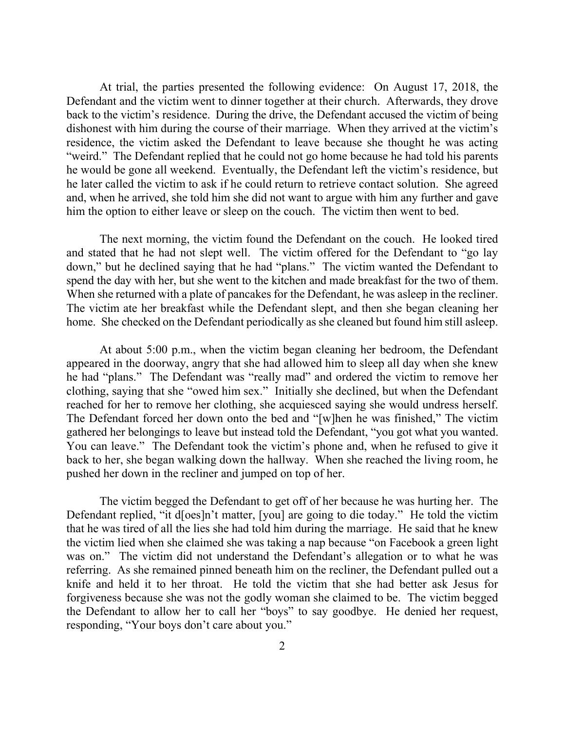At trial, the parties presented the following evidence: On August 17, 2018, the Defendant and the victim went to dinner together at their church. Afterwards, they drove back to the victim's residence. During the drive, the Defendant accused the victim of being dishonest with him during the course of their marriage. When they arrived at the victim's residence, the victim asked the Defendant to leave because she thought he was acting "weird." The Defendant replied that he could not go home because he had told his parents he would be gone all weekend. Eventually, the Defendant left the victim's residence, but he later called the victim to ask if he could return to retrieve contact solution. She agreed and, when he arrived, she told him she did not want to argue with him any further and gave him the option to either leave or sleep on the couch. The victim then went to bed.

The next morning, the victim found the Defendant on the couch. He looked tired and stated that he had not slept well. The victim offered for the Defendant to "go lay down," but he declined saying that he had "plans." The victim wanted the Defendant to spend the day with her, but she went to the kitchen and made breakfast for the two of them. When she returned with a plate of pancakes for the Defendant, he was asleep in the recliner. The victim ate her breakfast while the Defendant slept, and then she began cleaning her home. She checked on the Defendant periodically as she cleaned but found him still asleep.

At about 5:00 p.m., when the victim began cleaning her bedroom, the Defendant appeared in the doorway, angry that she had allowed him to sleep all day when she knew he had "plans." The Defendant was "really mad" and ordered the victim to remove her clothing, saying that she "owed him sex." Initially she declined, but when the Defendant reached for her to remove her clothing, she acquiesced saying she would undress herself. The Defendant forced her down onto the bed and "[w]hen he was finished," The victim gathered her belongings to leave but instead told the Defendant, "you got what you wanted. You can leave." The Defendant took the victim's phone and, when he refused to give it back to her, she began walking down the hallway. When she reached the living room, he pushed her down in the recliner and jumped on top of her.

The victim begged the Defendant to get off of her because he was hurting her. The Defendant replied, "it d[oes]n't matter, [you] are going to die today." He told the victim that he was tired of all the lies she had told him during the marriage. He said that he knew the victim lied when she claimed she was taking a nap because "on Facebook a green light was on." The victim did not understand the Defendant's allegation or to what he was referring. As she remained pinned beneath him on the recliner, the Defendant pulled out a knife and held it to her throat. He told the victim that she had better ask Jesus for forgiveness because she was not the godly woman she claimed to be. The victim begged the Defendant to allow her to call her "boys" to say goodbye. He denied her request, responding, "Your boys don't care about you."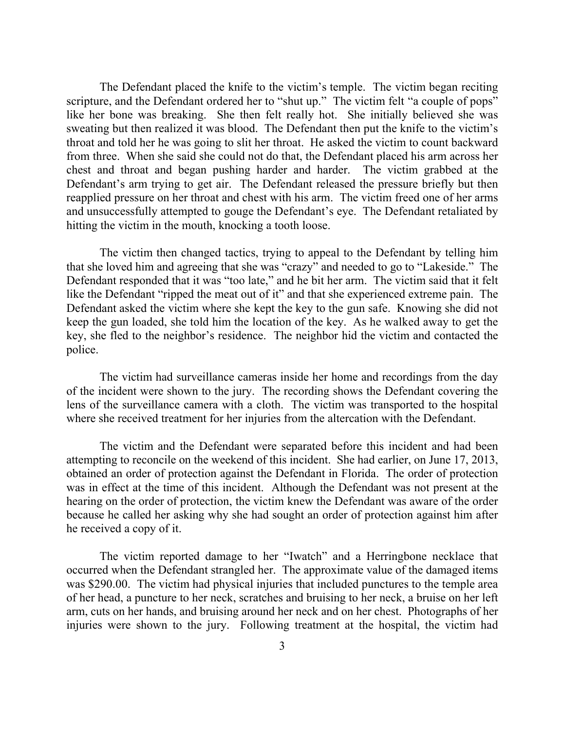The Defendant placed the knife to the victim's temple. The victim began reciting scripture, and the Defendant ordered her to "shut up." The victim felt "a couple of pops" like her bone was breaking. She then felt really hot. She initially believed she was sweating but then realized it was blood. The Defendant then put the knife to the victim's throat and told her he was going to slit her throat. He asked the victim to count backward from three. When she said she could not do that, the Defendant placed his arm across her chest and throat and began pushing harder and harder. The victim grabbed at the Defendant's arm trying to get air. The Defendant released the pressure briefly but then reapplied pressure on her throat and chest with his arm. The victim freed one of her arms and unsuccessfully attempted to gouge the Defendant's eye. The Defendant retaliated by hitting the victim in the mouth, knocking a tooth loose.

The victim then changed tactics, trying to appeal to the Defendant by telling him that she loved him and agreeing that she was "crazy" and needed to go to "Lakeside." The Defendant responded that it was "too late," and he bit her arm. The victim said that it felt like the Defendant "ripped the meat out of it" and that she experienced extreme pain. The Defendant asked the victim where she kept the key to the gun safe. Knowing she did not keep the gun loaded, she told him the location of the key. As he walked away to get the key, she fled to the neighbor's residence. The neighbor hid the victim and contacted the police.

The victim had surveillance cameras inside her home and recordings from the day of the incident were shown to the jury. The recording shows the Defendant covering the lens of the surveillance camera with a cloth. The victim was transported to the hospital where she received treatment for her injuries from the altercation with the Defendant.

The victim and the Defendant were separated before this incident and had been attempting to reconcile on the weekend of this incident. She had earlier, on June 17, 2013, obtained an order of protection against the Defendant in Florida. The order of protection was in effect at the time of this incident. Although the Defendant was not present at the hearing on the order of protection, the victim knew the Defendant was aware of the order because he called her asking why she had sought an order of protection against him after he received a copy of it.

The victim reported damage to her "Iwatch" and a Herringbone necklace that occurred when the Defendant strangled her. The approximate value of the damaged items was \$290.00. The victim had physical injuries that included punctures to the temple area of her head, a puncture to her neck, scratches and bruising to her neck, a bruise on her left arm, cuts on her hands, and bruising around her neck and on her chest. Photographs of her injuries were shown to the jury. Following treatment at the hospital, the victim had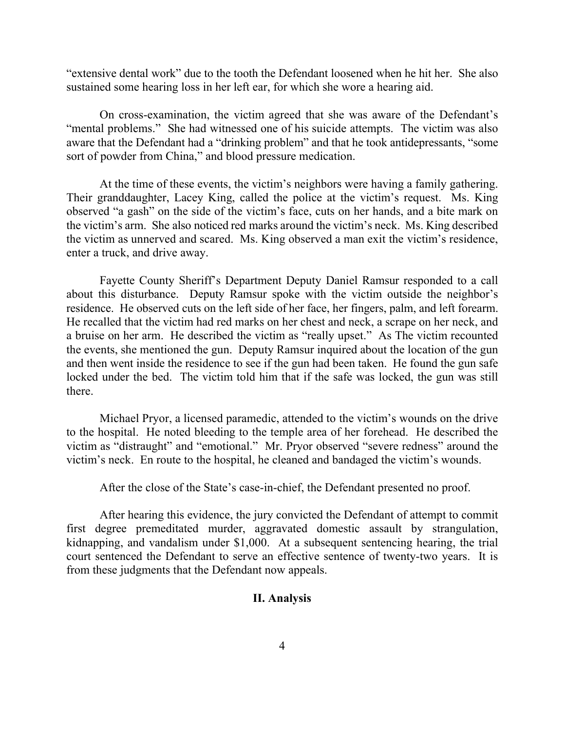"extensive dental work" due to the tooth the Defendant loosened when he hit her. She also sustained some hearing loss in her left ear, for which she wore a hearing aid.

On cross-examination, the victim agreed that she was aware of the Defendant's "mental problems." She had witnessed one of his suicide attempts. The victim was also aware that the Defendant had a "drinking problem" and that he took antidepressants, "some sort of powder from China," and blood pressure medication.

At the time of these events, the victim's neighbors were having a family gathering. Their granddaughter, Lacey King, called the police at the victim's request. Ms. King observed "a gash" on the side of the victim's face, cuts on her hands, and a bite mark on the victim's arm. She also noticed red marks around the victim's neck. Ms. King described the victim as unnerved and scared. Ms. King observed a man exit the victim's residence, enter a truck, and drive away.

Fayette County Sheriff's Department Deputy Daniel Ramsur responded to a call about this disturbance. Deputy Ramsur spoke with the victim outside the neighbor's residence. He observed cuts on the left side of her face, her fingers, palm, and left forearm. He recalled that the victim had red marks on her chest and neck, a scrape on her neck, and a bruise on her arm. He described the victim as "really upset." As The victim recounted the events, she mentioned the gun. Deputy Ramsur inquired about the location of the gun and then went inside the residence to see if the gun had been taken. He found the gun safe locked under the bed. The victim told him that if the safe was locked, the gun was still there.

Michael Pryor, a licensed paramedic, attended to the victim's wounds on the drive to the hospital. He noted bleeding to the temple area of her forehead. He described the victim as "distraught" and "emotional." Mr. Pryor observed "severe redness" around the victim's neck. En route to the hospital, he cleaned and bandaged the victim's wounds.

After the close of the State's case-in-chief, the Defendant presented no proof.

After hearing this evidence, the jury convicted the Defendant of attempt to commit first degree premeditated murder, aggravated domestic assault by strangulation, kidnapping, and vandalism under \$1,000. At a subsequent sentencing hearing, the trial court sentenced the Defendant to serve an effective sentence of twenty-two years. It is from these judgments that the Defendant now appeals.

### **II. Analysis**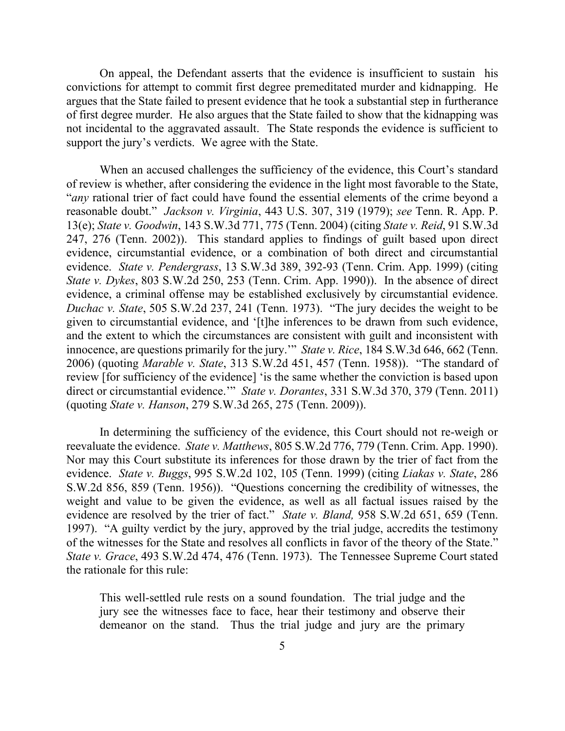On appeal, the Defendant asserts that the evidence is insufficient to sustain his convictions for attempt to commit first degree premeditated murder and kidnapping. He argues that the State failed to present evidence that he took a substantial step in furtherance of first degree murder. He also argues that the State failed to show that the kidnapping was not incidental to the aggravated assault. The State responds the evidence is sufficient to support the jury's verdicts. We agree with the State.

When an accused challenges the sufficiency of the evidence, this Court's standard of review is whether, after considering the evidence in the light most favorable to the State, "*any* rational trier of fact could have found the essential elements of the crime beyond a reasonable doubt." *Jackson v. Virginia*, 443 U.S. 307, 319 (1979); *see* Tenn. R. App. P. 13(e); *State v. Goodwin*, 143 S.W.3d 771, 775 (Tenn. 2004) (citing *State v. Reid*, 91 S.W.3d 247, 276 (Tenn. 2002)). This standard applies to findings of guilt based upon direct evidence, circumstantial evidence, or a combination of both direct and circumstantial evidence. *State v. Pendergrass*, 13 S.W.3d 389, 392-93 (Tenn. Crim. App. 1999) (citing *State v. Dykes*, 803 S.W.2d 250, 253 (Tenn. Crim. App. 1990)). In the absence of direct evidence, a criminal offense may be established exclusively by circumstantial evidence. *Duchac v. State*, 505 S.W.2d 237, 241 (Tenn. 1973). "The jury decides the weight to be given to circumstantial evidence, and '[t]he inferences to be drawn from such evidence, and the extent to which the circumstances are consistent with guilt and inconsistent with innocence, are questions primarily for the jury.'" *State v. Rice*, 184 S.W.3d 646, 662 (Tenn. 2006) (quoting *Marable v. State*, 313 S.W.2d 451, 457 (Tenn. 1958)). "The standard of review [for sufficiency of the evidence] 'is the same whether the conviction is based upon direct or circumstantial evidence.'" *State v. Dorantes*, 331 S.W.3d 370, 379 (Tenn. 2011) (quoting *State v. Hanson*, 279 S.W.3d 265, 275 (Tenn. 2009)).

In determining the sufficiency of the evidence, this Court should not re-weigh or reevaluate the evidence. *State v. Matthews*, 805 S.W.2d 776, 779 (Tenn. Crim. App. 1990). Nor may this Court substitute its inferences for those drawn by the trier of fact from the evidence. *State v. Buggs*, 995 S.W.2d 102, 105 (Tenn. 1999) (citing *Liakas v. State*, 286 S.W.2d 856, 859 (Tenn. 1956)). "Questions concerning the credibility of witnesses, the weight and value to be given the evidence, as well as all factual issues raised by the evidence are resolved by the trier of fact." *State v. Bland,* 958 S.W.2d 651, 659 (Tenn. 1997). "A guilty verdict by the jury, approved by the trial judge, accredits the testimony of the witnesses for the State and resolves all conflicts in favor of the theory of the State." *State v. Grace*, 493 S.W.2d 474, 476 (Tenn. 1973). The Tennessee Supreme Court stated the rationale for this rule:

This well-settled rule rests on a sound foundation. The trial judge and the jury see the witnesses face to face, hear their testimony and observe their demeanor on the stand. Thus the trial judge and jury are the primary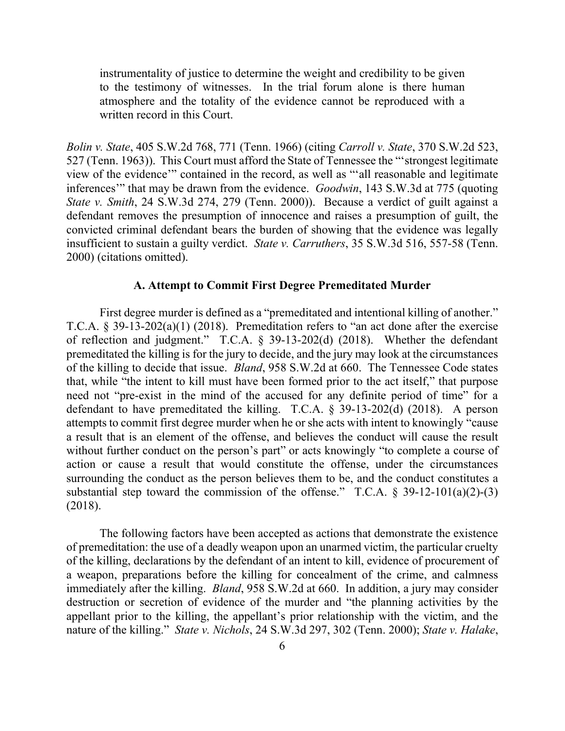instrumentality of justice to determine the weight and credibility to be given to the testimony of witnesses. In the trial forum alone is there human atmosphere and the totality of the evidence cannot be reproduced with a written record in this Court.

*Bolin v. State*, 405 S.W.2d 768, 771 (Tenn. 1966) (citing *Carroll v. State*, 370 S.W.2d 523, 527 (Tenn. 1963)). This Court must afford the State of Tennessee the "'strongest legitimate view of the evidence'" contained in the record, as well as "'all reasonable and legitimate inferences'" that may be drawn from the evidence. *Goodwin*, 143 S.W.3d at 775 (quoting *State v. Smith*, 24 S.W.3d 274, 279 (Tenn. 2000)). Because a verdict of guilt against a defendant removes the presumption of innocence and raises a presumption of guilt, the convicted criminal defendant bears the burden of showing that the evidence was legally insufficient to sustain a guilty verdict. *State v. Carruthers*, 35 S.W.3d 516, 557-58 (Tenn. 2000) (citations omitted).

### **A. Attempt to Commit First Degree Premeditated Murder**

First degree murder is defined as a "premeditated and intentional killing of another." T.C.A. § 39-13-202(a)(1) (2018). Premeditation refers to "an act done after the exercise of reflection and judgment." T.C.A. § 39-13-202(d) (2018). Whether the defendant premeditated the killing is for the jury to decide, and the jury may look at the circumstances of the killing to decide that issue. *Bland*, 958 S.W.2d at 660. The Tennessee Code states that, while "the intent to kill must have been formed prior to the act itself," that purpose need not "pre-exist in the mind of the accused for any definite period of time" for a defendant to have premeditated the killing. T.C.A.  $\S$  39-13-202(d) (2018). A person attempts to commit first degree murder when he or she acts with intent to knowingly "cause a result that is an element of the offense, and believes the conduct will cause the result without further conduct on the person's part" or acts knowingly "to complete a course of action or cause a result that would constitute the offense, under the circumstances surrounding the conduct as the person believes them to be, and the conduct constitutes a substantial step toward the commission of the offense." T.C.A.  $\S$  39-12-101(a)(2)-(3) (2018).

The following factors have been accepted as actions that demonstrate the existence of premeditation: the use of a deadly weapon upon an unarmed victim, the particular cruelty of the killing, declarations by the defendant of an intent to kill, evidence of procurement of a weapon, preparations before the killing for concealment of the crime, and calmness immediately after the killing. *Bland*, 958 S.W.2d at 660. In addition, a jury may consider destruction or secretion of evidence of the murder and "the planning activities by the appellant prior to the killing, the appellant's prior relationship with the victim, and the nature of the killing." *State v. Nichols*, 24 S.W.3d 297, 302 (Tenn. 2000); *State v. Halake*,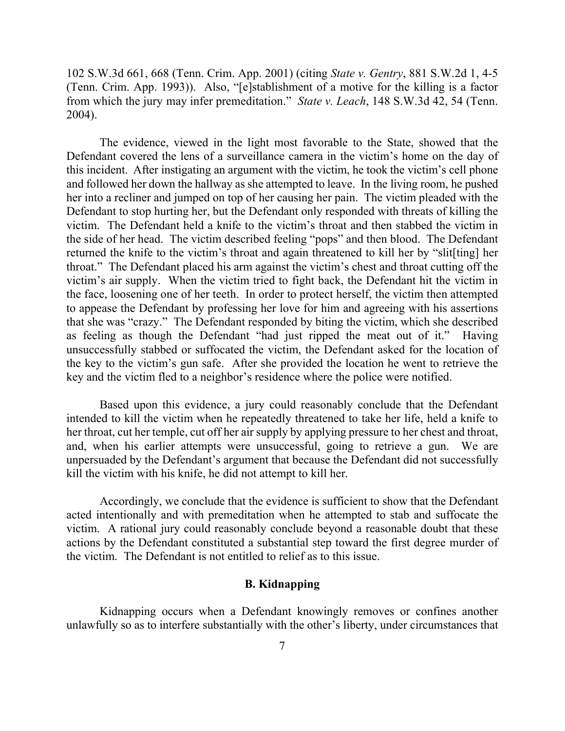102 S.W.3d 661, 668 (Tenn. Crim. App. 2001) (citing *State v. Gentry*, 881 S.W.2d 1, 4-5 (Tenn. Crim. App. 1993)). Also, "[e]stablishment of a motive for the killing is a factor from which the jury may infer premeditation." *State v. Leach*, 148 S.W.3d 42, 54 (Tenn. 2004).

The evidence, viewed in the light most favorable to the State, showed that the Defendant covered the lens of a surveillance camera in the victim's home on the day of this incident. After instigating an argument with the victim, he took the victim's cell phone and followed her down the hallway as she attempted to leave. In the living room, he pushed her into a recliner and jumped on top of her causing her pain. The victim pleaded with the Defendant to stop hurting her, but the Defendant only responded with threats of killing the victim. The Defendant held a knife to the victim's throat and then stabbed the victim in the side of her head. The victim described feeling "pops" and then blood. The Defendant returned the knife to the victim's throat and again threatened to kill her by "slit[ting] her throat." The Defendant placed his arm against the victim's chest and throat cutting off the victim's air supply. When the victim tried to fight back, the Defendant hit the victim in the face, loosening one of her teeth. In order to protect herself, the victim then attempted to appease the Defendant by professing her love for him and agreeing with his assertions that she was "crazy." The Defendant responded by biting the victim, which she described as feeling as though the Defendant "had just ripped the meat out of it." Having unsuccessfully stabbed or suffocated the victim, the Defendant asked for the location of the key to the victim's gun safe. After she provided the location he went to retrieve the key and the victim fled to a neighbor's residence where the police were notified.

Based upon this evidence, a jury could reasonably conclude that the Defendant intended to kill the victim when he repeatedly threatened to take her life, held a knife to her throat, cut her temple, cut off her air supply by applying pressure to her chest and throat, and, when his earlier attempts were unsuccessful, going to retrieve a gun. We are unpersuaded by the Defendant's argument that because the Defendant did not successfully kill the victim with his knife, he did not attempt to kill her.

Accordingly, we conclude that the evidence is sufficient to show that the Defendant acted intentionally and with premeditation when he attempted to stab and suffocate the victim. A rational jury could reasonably conclude beyond a reasonable doubt that these actions by the Defendant constituted a substantial step toward the first degree murder of the victim. The Defendant is not entitled to relief as to this issue.

#### **B. Kidnapping**

Kidnapping occurs when a Defendant knowingly removes or confines another unlawfully so as to interfere substantially with the other's liberty, under circumstances that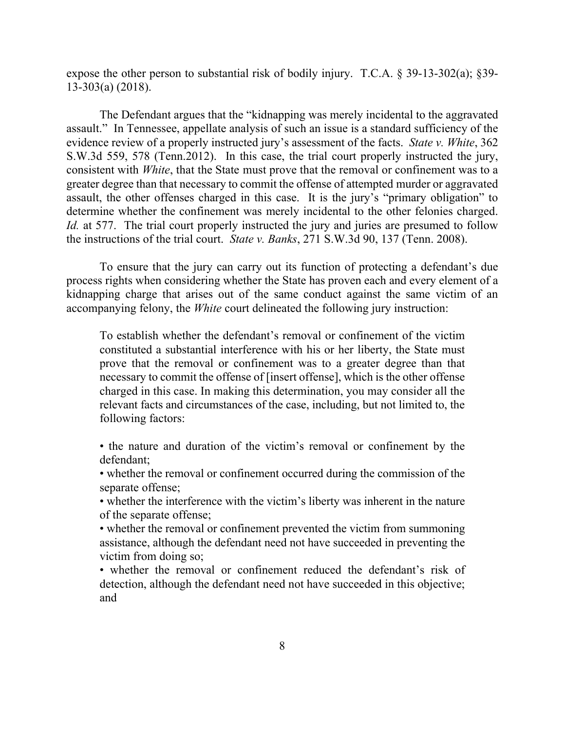expose the other person to substantial risk of bodily injury. T.C.A. § 39-13-302(a); §39- 13-303(a) (2018).

The Defendant argues that the "kidnapping was merely incidental to the aggravated assault." In Tennessee, appellate analysis of such an issue is a standard sufficiency of the evidence review of a properly instructed jury's assessment of the facts. *State v. White*, 362 S.W.3d 559, 578 (Tenn.2012). In this case, the trial court properly instructed the jury, consistent with *White*, that the State must prove that the removal or confinement was to a greater degree than that necessary to commit the offense of attempted murder or aggravated assault, the other offenses charged in this case. It is the jury's "primary obligation" to determine whether the confinement was merely incidental to the other felonies charged. *Id.* at 577. The trial court properly instructed the jury and juries are presumed to follow the instructions of the trial court. *State v. Banks*, 271 S.W.3d 90, 137 (Tenn. 2008).

To ensure that the jury can carry out its function of protecting a defendant's due process rights when considering whether the State has proven each and every element of a kidnapping charge that arises out of the same conduct against the same victim of an accompanying felony, the *White* court delineated the following jury instruction:

To establish whether the defendant's removal or confinement of the victim constituted a substantial interference with his or her liberty, the State must prove that the removal or confinement was to a greater degree than that necessary to commit the offense of [insert offense], which is the other offense charged in this case. In making this determination, you may consider all the relevant facts and circumstances of the case, including, but not limited to, the following factors:

• the nature and duration of the victim's removal or confinement by the defendant;

• whether the removal or confinement occurred during the commission of the separate offense;

• whether the interference with the victim's liberty was inherent in the nature of the separate offense;

• whether the removal or confinement prevented the victim from summoning assistance, although the defendant need not have succeeded in preventing the victim from doing so;

• whether the removal or confinement reduced the defendant's risk of detection, although the defendant need not have succeeded in this objective; and